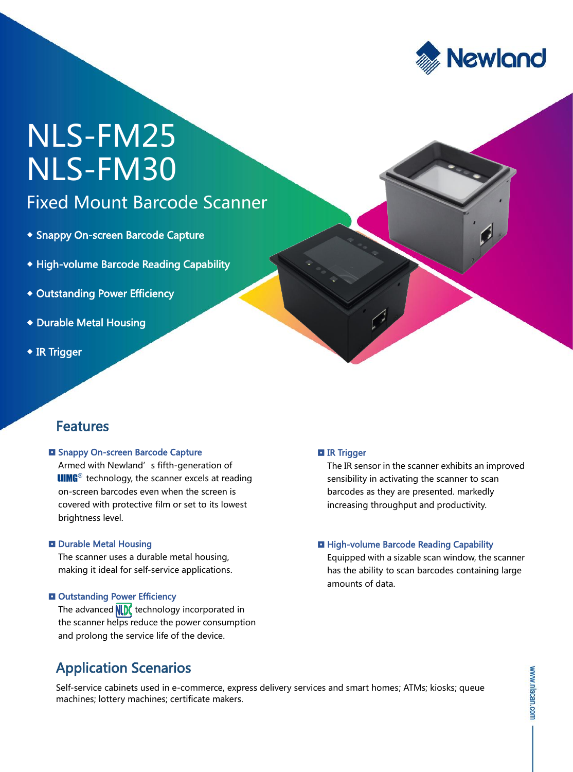

# NLS-FM25 NLS-FM30

### Fixed Mount Barcode Scanner

- Snappy On-screen Barcode Capture
- High-volume Barcode Reading Capability
- Outstanding Power Efficiency
- Durable Metal Housing
- ◆ IR Trigger

### Features

#### **El Snappy On-screen Barcode Capture**

Armed with Newland's fifth-generation of **UIMG**<sup>®</sup> technology, the scanner excels at reading on-screen barcodes even when the screen is covered with protective film or set to its lowest brightness level.

#### **D** Durable Metal Housing

The scanner uses a durable metal housing, making it ideal for self-service applications.

#### **Q** Outstanding Power Efficiency

The advanced  $\sqrt{\left| \right|}$  technology incorporated in the scanner helps reduce the power consumption and prolong the service life of the device.

### Application Scenarios

### **El IR Trigger**

The IR sensor in the scanner exhibits an improved sensibility in activating the scanner to scan barcodes as they are presented. markedly increasing throughput and productivity.

### **High-volume Barcode Reading Capability**

Equipped with a sizable scan window, the scanner has the ability to scan barcodes containing large amounts of data.

Self-service cabinets used in e-commerce, express delivery services and smart homes; ATMs; kiosks; queue machines; lottery machines; certificate makers.